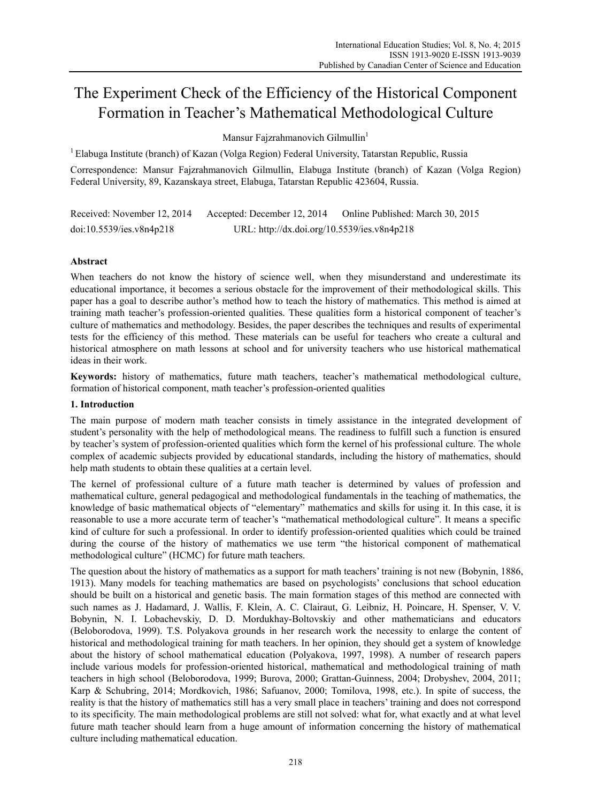# The Experiment Check of the Efficiency of the Historical Component Formation in Teacher's Mathematical Methodological Culture

Mansur Fajzrahmanovich Gilmullin<sup>1</sup>

 $<sup>1</sup>$  Elabuga Institute (branch) of Kazan (Volga Region) Federal University, Tatarstan Republic, Russia</sup>

Correspondence: Mansur Fajzrahmanovich Gilmullin, Elabuga Institute (branch) of Kazan (Volga Region) Federal University, 89, Kazanskaya street, Elabuga, Tatarstan Republic 423604, Russia.

Received: November 12, 2014 Accepted: December 12, 2014 Online Published: March 30, 2015 doi:10.5539/ies.v8n4p218 URL: http://dx.doi.org/10.5539/ies.v8n4p218

# **Abstract**

When teachers do not know the history of science well, when they misunderstand and underestimate its educational importance, it becomes a serious obstacle for the improvement of their methodological skills. This paper has a goal to describe author's method how to teach the history of mathematics. This method is aimed at training math teacher's profession-oriented qualities. These qualities form a historical component of teacher's culture of mathematics and methodology. Besides, the paper describes the techniques and results of experimental tests for the efficiency of this method. These materials can be useful for teachers who create a cultural and historical atmosphere on math lessons at school and for university teachers who use historical mathematical ideas in their work.

**Keywords:** history of mathematics, future math teachers, teacher's mathematical methodological culture, formation of historical component, math teacher's profession-oriented qualities

## **1. Introduction**

The main purpose of modern math teacher consists in timely assistance in the integrated development of student's personality with the help of methodological means. The readiness to fulfill such a function is ensured by teacher's system of profession-oriented qualities which form the kernel of his professional culture. The whole complex of academic subjects provided by educational standards, including the history of mathematics, should help math students to obtain these qualities at a certain level.

The kernel of professional culture of a future math teacher is determined by values of profession and mathematical culture, general pedagogical and methodological fundamentals in the teaching of mathematics, the knowledge of basic mathematical objects of "elementary" mathematics and skills for using it. In this case, it is reasonable to use a more accurate term of teacher's "mathematical methodological culture". It means a specific kind of culture for such a professional. In order to identify profession-oriented qualities which could be trained during the course of the history of mathematics we use term "the historical component of mathematical methodological culture" (HCMC) for future math teachers.

The question about the history of mathematics as a support for math teachers' training is not new (Bobynin, 1886, 1913). Many models for teaching mathematics are based on psychologists' conclusions that school education should be built on a historical and genetic basis. The main formation stages of this method are connected with such names as J. Hadamard, J. Wallis, F. Klein, A. C. Clairaut, G. Leibniz, H. Poincare, H. Spenser, V. V. Bobynin, N. I. Lobachevskiy, D. D. Mordukhay-Boltovskiy and other mathematicians and educators (Beloborodova, 1999). T.S. Polyakova grounds in her research work the necessity to enlarge the content of historical and methodological training for math teachers. In her opinion, they should get a system of knowledge about the history of school mathematical education (Polyakova, 1997, 1998). A number of research papers include various models for profession-oriented historical, mathematical and methodological training of math teachers in high school (Beloborodova, 1999; Burova, 2000; Grattan-Guinness, 2004; Drobyshev, 2004, 2011; Karp & Schubring, 2014; Mordkovich, 1986; Safuanov, 2000; Tomilova, 1998, etc.). In spite of success, the reality is that the history of mathematics still has a very small place in teachers' training and does not correspond to its specificity. The main methodological problems are still not solved: what for, what exactly and at what level future math teacher should learn from a huge amount of information concerning the history of mathematical culture including mathematical education.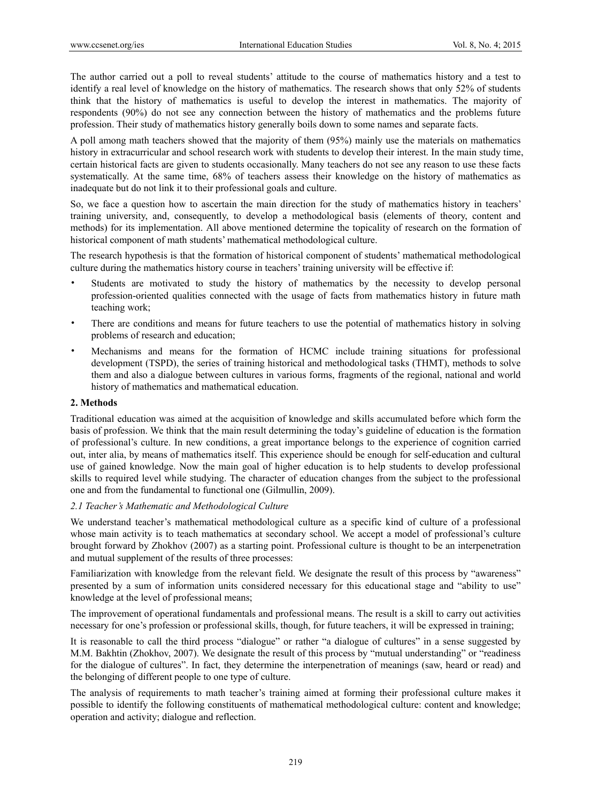The author carried out a poll to reveal students' attitude to the course of mathematics history and a test to identify a real level of knowledge on the history of mathematics. The research shows that only 52% of students think that the history of mathematics is useful to develop the interest in mathematics. The majority of respondents (90%) do not see any connection between the history of mathematics and the problems future profession. Their study of mathematics history generally boils down to some names and separate facts.

A poll among math teachers showed that the majority of them (95%) mainly use the materials on mathematics history in extracurricular and school research work with students to develop their interest. In the main study time, certain historical facts are given to students occasionally. Many teachers do not see any reason to use these facts systematically. At the same time, 68% of teachers assess their knowledge on the history of mathematics as inadequate but do not link it to their professional goals and culture.

So, we face a question how to ascertain the main direction for the study of mathematics history in teachers' training university, and, consequently, to develop a methodological basis (elements of theory, content and methods) for its implementation. All above mentioned determine the topicality of research on the formation of historical component of math students' mathematical methodological culture.

The research hypothesis is that the formation of historical component of students' mathematical methodological culture during the mathematics history course in teachers' training university will be effective if:

- Students are motivated to study the history of mathematics by the necessity to develop personal profession-oriented qualities connected with the usage of facts from mathematics history in future math teaching work;
- There are conditions and means for future teachers to use the potential of mathematics history in solving problems of research and education;
- Mechanisms and means for the formation of HCMC include training situations for professional development (TSPD), the series of training historical and methodological tasks (THMT), methods to solve them and also a dialogue between cultures in various forms, fragments of the regional, national and world history of mathematics and mathematical education.

## **2. Methods**

Traditional education was aimed at the acquisition of knowledge and skills accumulated before which form the basis of profession. We think that the main result determining the today's guideline of education is the formation of professional's culture. In new conditions, a great importance belongs to the experience of cognition carried out, inter alia, by means of mathematics itself. This experience should be enough for self-education and cultural use of gained knowledge. Now the main goal of higher education is to help students to develop professional skills to required level while studying. The character of education changes from the subject to the professional one and from the fundamental to functional one (Gilmullin, 2009).

## *2.1 Teacher's Mathematic and Methodological Culture*

We understand teacher's mathematical methodological culture as a specific kind of culture of a professional whose main activity is to teach mathematics at secondary school. We accept a model of professional's culture brought forward by Zhokhov (2007) as a starting point. Professional culture is thought to be an interpenetration and mutual supplement of the results of three processes:

Familiarization with knowledge from the relevant field. We designate the result of this process by "awareness" presented by a sum of information units considered necessary for this educational stage and "ability to use" knowledge at the level of professional means;

The improvement of operational fundamentals and professional means. The result is a skill to carry out activities necessary for one's profession or professional skills, though, for future teachers, it will be expressed in training;

It is reasonable to call the third process "dialogue" or rather "a dialogue of cultures" in a sense suggested by M.M. Bakhtin (Zhokhov, 2007). We designate the result of this process by "mutual understanding" or "readiness for the dialogue of cultures". In fact, they determine the interpenetration of meanings (saw, heard or read) and the belonging of different people to one type of culture.

The analysis of requirements to math teacher's training aimed at forming their professional culture makes it possible to identify the following constituents of mathematical methodological culture: content and knowledge; operation and activity; dialogue and reflection.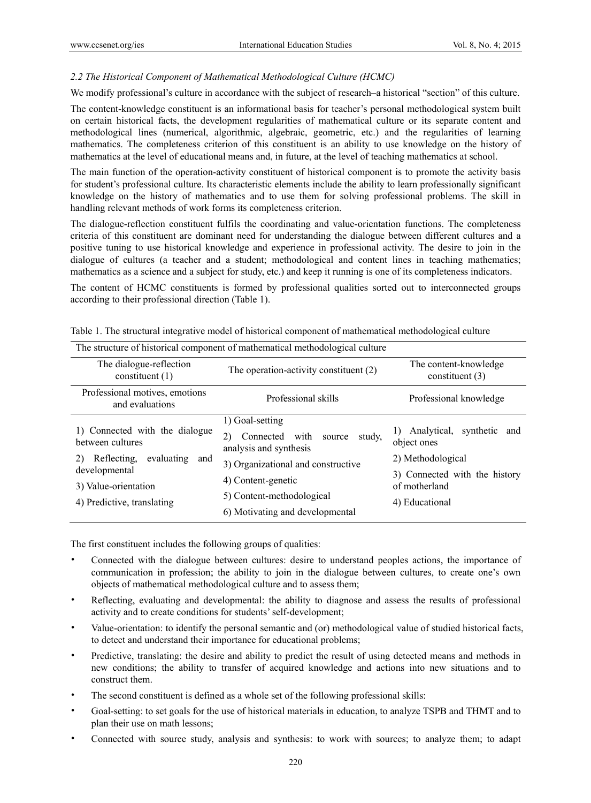# *2.2 The Historical Component of Mathematical Methodological Culture (HCMC)*

We modify professional's culture in accordance with the subject of research–a historical "section" of this culture.

The content-knowledge constituent is an informational basis for teacher's personal methodological system built on certain historical facts, the development regularities of mathematical culture or its separate content and methodological lines (numerical, algorithmic, algebraic, geometric, etc.) and the regularities of learning mathematics. The completeness criterion of this constituent is an ability to use knowledge on the history of mathematics at the level of educational means and, in future, at the level of teaching mathematics at school.

The main function of the operation-activity constituent of historical component is to promote the activity basis for student's professional culture. Its characteristic elements include the ability to learn professionally significant knowledge on the history of mathematics and to use them for solving professional problems. The skill in handling relevant methods of work forms its completeness criterion.

The dialogue-reflection constituent fulfils the coordinating and value-orientation functions. The completeness criteria of this constituent are dominant need for understanding the dialogue between different cultures and a positive tuning to use historical knowledge and experience in professional activity. The desire to join in the dialogue of cultures (a teacher and a student; methodological and content lines in teaching mathematics; mathematics as a science and a subject for study, etc.) and keep it running is one of its completeness indicators.

The content of HCMC constituents is formed by professional qualities sorted out to interconnected groups according to their professional direction (Table 1).

| The structure of historical component of mathematical methodological culture                                                                                        |                                                                                                                                                                                                                |                                                                                                                                      |  |  |  |  |
|---------------------------------------------------------------------------------------------------------------------------------------------------------------------|----------------------------------------------------------------------------------------------------------------------------------------------------------------------------------------------------------------|--------------------------------------------------------------------------------------------------------------------------------------|--|--|--|--|
| The dialogue-reflection<br>constituent $(1)$                                                                                                                        | The operation-activity constituent (2)                                                                                                                                                                         | The content-knowledge<br>constituent $(3)$                                                                                           |  |  |  |  |
| Professional motives, emotions<br>Professional skills<br>and evaluations                                                                                            |                                                                                                                                                                                                                | Professional knowledge                                                                                                               |  |  |  |  |
| 1) Connected with the dialogue<br>between cultures<br>evaluating<br>Reflecting.<br>2)<br>and<br>developmental<br>3) Value-orientation<br>4) Predictive, translating | 1) Goal-setting<br>study,<br>Connected with source<br>2)<br>analysis and synthesis<br>3) Organizational and constructive<br>4) Content-genetic<br>5) Content-methodological<br>6) Motivating and developmental | Analytical,<br>synthetic and<br>object ones<br>2) Methodological<br>3) Connected with the history<br>of motherland<br>4) Educational |  |  |  |  |

Table 1. The structural integrative model of historical component of mathematical methodological culture

The first constituent includes the following groups of qualities:

- Connected with the dialogue between cultures: desire to understand peoples actions, the importance of communication in profession; the ability to join in the dialogue between cultures, to create one's own objects of mathematical methodological culture and to assess them;
- Reflecting, evaluating and developmental: the ability to diagnose and assess the results of professional activity and to create conditions for students' self-development;
- Value-orientation: to identify the personal semantic and (or) methodological value of studied historical facts, to detect and understand their importance for educational problems;
- Predictive, translating: the desire and ability to predict the result of using detected means and methods in new conditions; the ability to transfer of acquired knowledge and actions into new situations and to construct them.
- The second constituent is defined as a whole set of the following professional skills:
- Goal-setting: to set goals for the use of historical materials in education, to analyze TSPB and THMT and to plan their use on math lessons;
- Connected with source study, analysis and synthesis: to work with sources; to analyze them; to adapt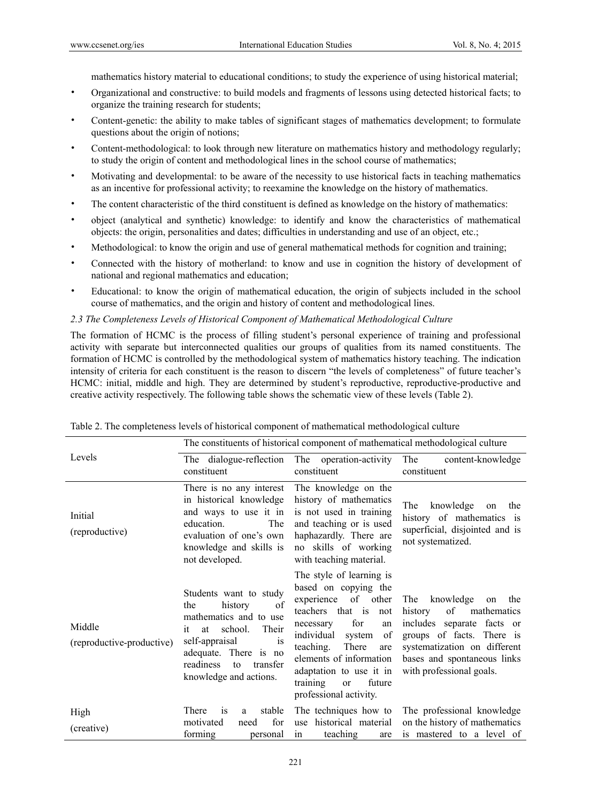mathematics history material to educational conditions; to study the experience of using historical material;

- Organizational and constructive: to build models and fragments of lessons using detected historical facts; to organize the training research for students;
- Content-genetic: the ability to make tables of significant stages of mathematics development; to formulate questions about the origin of notions;
- Content-methodological: to look through new literature on mathematics history and methodology regularly; to study the origin of content and methodological lines in the school course of mathematics;
- Motivating and developmental: to be aware of the necessity to use historical facts in teaching mathematics as an incentive for professional activity; to reexamine the knowledge on the history of mathematics.
- The content characteristic of the third constituent is defined as knowledge on the history of mathematics:
- object (analytical and synthetic) knowledge: to identify and know the characteristics of mathematical objects: the origin, personalities and dates; difficulties in understanding and use of an object, etc.;
- Methodological: to know the origin and use of general mathematical methods for cognition and training;
- Connected with the history of motherland: to know and use in cognition the history of development of national and regional mathematics and education;
- Educational: to know the origin of mathematical education, the origin of subjects included in the school course of mathematics, and the origin and history of content and methodological lines.

*2.3 The Completeness Levels of Historical Component of Mathematical Methodological Culture* 

The formation of HCMC is the process of filling student's personal experience of training and professional activity with separate but interconnected qualities our groups of qualities from its named constituents. The formation of HCMC is controlled by the methodological system of mathematics history teaching. The indication intensity of criteria for each constituent is the reason to discern "the levels of completeness" of future teacher's HCMC: initial, middle and high. They are determined by student's reproductive, reproductive-productive and creative activity respectively. The following table shows the schematic view of these levels (Table 2).

|                                     |                                                                                                                                                                                                                                      |                                                                                                                                                                                                                                                                                                                   | The constituents of historical component of mathematical methodological culture                                                                                                                                     |
|-------------------------------------|--------------------------------------------------------------------------------------------------------------------------------------------------------------------------------------------------------------------------------------|-------------------------------------------------------------------------------------------------------------------------------------------------------------------------------------------------------------------------------------------------------------------------------------------------------------------|---------------------------------------------------------------------------------------------------------------------------------------------------------------------------------------------------------------------|
| Levels                              | The dialogue-reflection<br>constituent                                                                                                                                                                                               | The operation-activity<br>constituent                                                                                                                                                                                                                                                                             | The<br>content-knowledge<br>constituent                                                                                                                                                                             |
| Initial<br>(reproductive)           | There is no any interest<br>in historical knowledge<br>and ways to use it in<br>The<br>education.<br>evaluation of one's own<br>knowledge and skills is<br>not developed.                                                            | The knowledge on the<br>history of mathematics<br>is not used in training<br>and teaching or is used<br>haphazardly. There are<br>no skills of working<br>with teaching material.                                                                                                                                 | The<br>knowledge<br>the<br>on<br>history of mathematics is<br>superficial, disjointed and is<br>not systematized.                                                                                                   |
| Middle<br>(reproductive-productive) | Students want to study<br>history<br>of<br>the<br>mathematics and to use<br>school.<br>Their<br>at<br>it<br>self-appraisal<br><i>is</i><br>adequate. There is no<br>readiness<br>transfer<br>$\mathsf{to}$<br>knowledge and actions. | The style of learning is<br>based on copying the<br>of other<br>experience<br>teachers that is<br>not<br>for<br>necessary<br>an<br>individual<br>of<br>system<br>teaching.<br>There<br>are<br>elements of information<br>adaptation to use it in<br>training<br>future<br><sub>or</sub><br>professional activity. | knowledge<br>The<br>the<br>on<br>of<br>history<br>mathematics<br>includes separate facts or<br>groups of facts. There is<br>systematization on different<br>bases and spontaneous links<br>with professional goals. |
| High<br>(creative)                  | stable<br>There<br><i>is</i><br>a<br>for<br>motivated<br>need<br>forming<br>personal                                                                                                                                                 | The techniques how to<br>historical material<br>use<br>teaching<br>in<br>are                                                                                                                                                                                                                                      | The professional knowledge<br>on the history of mathematics<br>is mastered to a level of                                                                                                                            |

|  |  |  | Table 2. The completeness levels of historical component of mathematical methodological culture |  |  |  |  |
|--|--|--|-------------------------------------------------------------------------------------------------|--|--|--|--|
|--|--|--|-------------------------------------------------------------------------------------------------|--|--|--|--|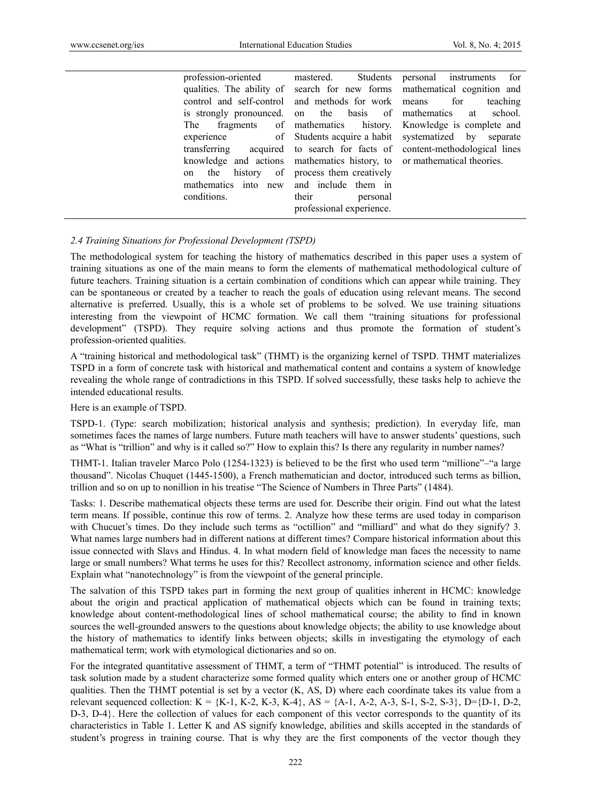| profession-oriented  | Students<br>mastered.                                                   | personal instruments for                                                  |
|----------------------|-------------------------------------------------------------------------|---------------------------------------------------------------------------|
|                      |                                                                         | qualities. The ability of search for new forms mathematical cognition and |
|                      | control and self-control and methods for work means                     | for<br>teaching                                                           |
|                      | is strongly pronounced, on the basis of mathematics at                  | school.                                                                   |
| <b>The</b>           |                                                                         | fragments of mathematics history. Knowledge is complete and               |
| experience           | of Students acquire a habit systematized by                             | separate                                                                  |
|                      |                                                                         | transferring acquired to search for facts of content-methodological lines |
|                      | knowledge and actions mathematics history, to or mathematical theories. |                                                                           |
| the<br><sub>on</sub> | history of process them creatively                                      |                                                                           |
| mathematics into new | and include them in                                                     |                                                                           |
| conditions.          | their<br>personal                                                       |                                                                           |
|                      | professional experience.                                                |                                                                           |

## *2.4 Training Situations for Professional Development (TSPD)*

The methodological system for teaching the history of mathematics described in this paper uses a system of training situations as one of the main means to form the elements of mathematical methodological culture of future teachers. Training situation is a certain combination of conditions which can appear while training. They can be spontaneous or created by a teacher to reach the goals of education using relevant means. The second alternative is preferred. Usually, this is a whole set of problems to be solved. We use training situations interesting from the viewpoint of HCMC formation. We call them "training situations for professional development" (TSPD). They require solving actions and thus promote the formation of student's profession-oriented qualities.

A "training historical and methodological task" (THMT) is the organizing kernel of TSPD. THMT materializes TSPD in a form of concrete task with historical and mathematical content and contains a system of knowledge revealing the whole range of contradictions in this TSPD. If solved successfully, these tasks help to achieve the intended educational results.

Here is an example of TSPD.

TSPD-1. (Type: search mobilization; historical analysis and synthesis; prediction). In everyday life, man sometimes faces the names of large numbers. Future math teachers will have to answer students' questions, such as "What is "trillion" and why is it called so?" How to explain this? Is there any regularity in number names?

THMT-1. Italian traveler Marco Polo (1254-1323) is believed to be the first who used term "millionе"–"a large thousand". Nicolas Chuquet (1445-1500), a French mathematician and doctor, introduced such terms as billion, trillion and so on up to nonillion in his treatise "The Science of Numbers in Three Parts" (1484).

Tasks: 1. Describe mathematical objects these terms are used for. Describe their origin. Find out what the latest term means. If possible, continue this row of terms. 2. Analyze how these terms are used today in comparison with Chucuet's times. Do they include such terms as "octillion" and "milliard" and what do they signify? 3. What names large numbers had in different nations at different times? Compare historical information about this issue connected with Slavs and Hindus. 4. In what modern field of knowledge man faces the necessity to name large or small numbers? What terms he uses for this? Recollect astronomy, information science and other fields. Explain what "nanotechnology" is from the viewpoint of the general principle.

The salvation of this TSPD takes part in forming the next group of qualities inherent in HCMC: knowledge about the origin and practical application of mathematical objects which can be found in training texts; knowledge about content-methodological lines of school mathematical course; the ability to find in known sources the well-grounded answers to the questions about knowledge objects; the ability to use knowledge about the history of mathematics to identify links between objects; skills in investigating the etymology of each mathematical term; work with etymological dictionaries and so on.

For the integrated quantitative assessment of THMT, a term of "THMT potential" is introduced. The results of task solution made by a student characterize some formed quality which enters one or another group of HCMC qualities. Then the THMT potential is set by a vector (K, AS, D) where each coordinate takes its value from a relevant sequenced collection: K = {K-1, K-2, K-3, K-4}, AS = {A-1, A-2, A-3, S-1, S-2, S-3}, D={D-1, D-2, D-3, D-4}. Here the collection of values for each component of this vector corresponds to the quantity of its characteristics in Table 1. Letter K and AS signify knowledge, abilities and skills accepted in the standards of student's progress in training course. That is why they are the first components of the vector though they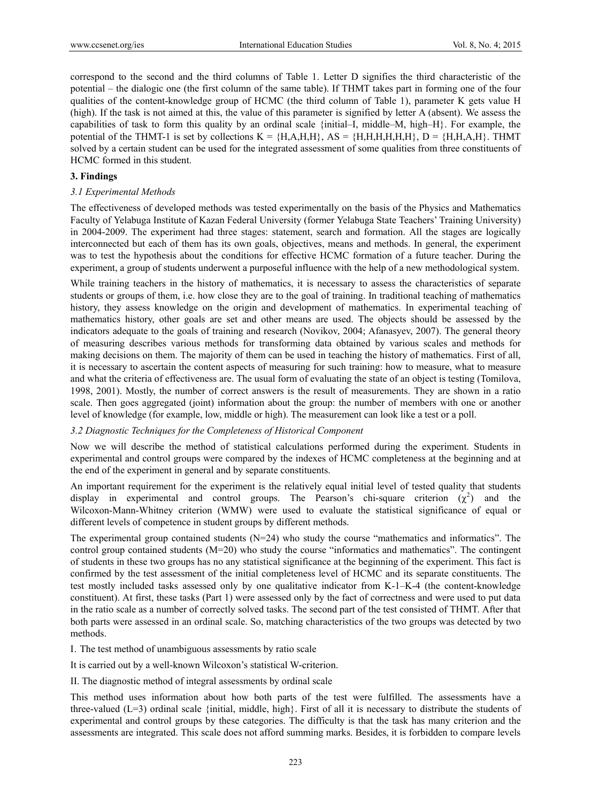correspond to the second and the third columns of Table 1. Letter D signifies the third characteristic of the potential – the dialogic one (the first column of the same table). If THMT takes part in forming one of the four qualities of the content-knowledge group of HCMC (the third column of Table 1), parameter K gets value H (high). If the task is not aimed at this, the value of this parameter is signified by letter A (absent). We assess the capabilities of task to form this quality by an ordinal scale {initial–I, middle–M, high–H}. For example, the potential of the THMT-1 is set by collections  $K = {H,A,H,H}, AS = {H,H,H,H,H,H}, D = {H,H,A,H}.$  THMT solved by a certain student can be used for the integrated assessment of some qualities from three constituents of HCMC formed in this student.

#### **3. Findings**

#### *3.1 Experimental Methods*

The effectiveness of developed methods was tested experimentally on the basis of the Physics and Mathematics Faculty of Yelabuga Institute of Kazan Federal University (former Yelabuga State Teachers' Training University) in 2004-2009. The experiment had three stages: statement, search and formation. All the stages are logically interconnected but each of them has its own goals, objectives, means and methods. In general, the experiment was to test the hypothesis about the conditions for effective HCMC formation of a future teacher. During the experiment, a group of students underwent a purposeful influence with the help of a new methodological system.

While training teachers in the history of mathematics, it is necessary to assess the characteristics of separate students or groups of them, i.e. how close they are to the goal of training. In traditional teaching of mathematics history, they assess knowledge on the origin and development of mathematics. In experimental teaching of mathematics history, other goals are set and other means are used. The objects should be assessed by the indicators adequate to the goals of training and research (Novikov, 2004; Afanasyev, 2007). The general theory of measuring describes various methods for transforming data obtained by various scales and methods for making decisions on them. The majority of them can be used in teaching the history of mathematics. First of all, it is necessary to ascertain the content aspects of measuring for such training: how to measure, what to measure and what the criteria of effectiveness are. The usual form of evaluating the state of an object is testing (Tomilova, 1998, 2001). Mostly, the number of correct answers is the result of measurements. They are shown in a ratio scale. Then goes aggregated (joint) information about the group: the number of members with one or another level of knowledge (for example, low, middle or high). The measurement can look like a test or a poll.

## *3.2 Diagnostic Techniques for the Completeness of Historical Component*

Now we will describe the method of statistical calculations performed during the experiment. Students in experimental and control groups were compared by the indexes of HCMC completeness at the beginning and at the end of the experiment in general and by separate constituents.

An important requirement for the experiment is the relatively equal initial level of tested quality that students display in experimental and control groups. The Pearson's chi-square criterion  $(\chi^2)$  and the Wilcoxon-Mann-Whitney criterion (WMW) were used to evaluate the statistical significance of equal or different levels of competence in student groups by different methods.

The experimental group contained students  $(N=24)$  who study the course "mathematics and informatics". The control group contained students (M=20) who study the course "informatics and mathematics". The contingent of students in these two groups has no any statistical significance at the beginning of the experiment. This fact is confirmed by the test assessment of the initial completeness level of HCMC and its separate constituents. The test mostly included tasks assessed only by one qualitative indicator from K-1–K-4 (the content-knowledge constituent). At first, these tasks (Part 1) were assessed only by the fact of correctness and were used to put data in the ratio scale as a number of correctly solved tasks. The second part of the test consisted of THMT. After that both parts were assessed in an ordinal scale. So, matching characteristics of the two groups was detected by two methods.

I. The test method of unambiguous assessments by ratio scale

It is carried out by a well-known Wilcoxon's statistical W-criterion.

II. The diagnostic method of integral assessments by ordinal scale

This method uses information about how both parts of the test were fulfilled. The assessments have a three-valued (L=3) ordinal scale {initial, middle, high}. First of all it is necessary to distribute the students of experimental and control groups by these categories. The difficulty is that the task has many criterion and the assessments are integrated. This scale does not afford summing marks. Besides, it is forbidden to compare levels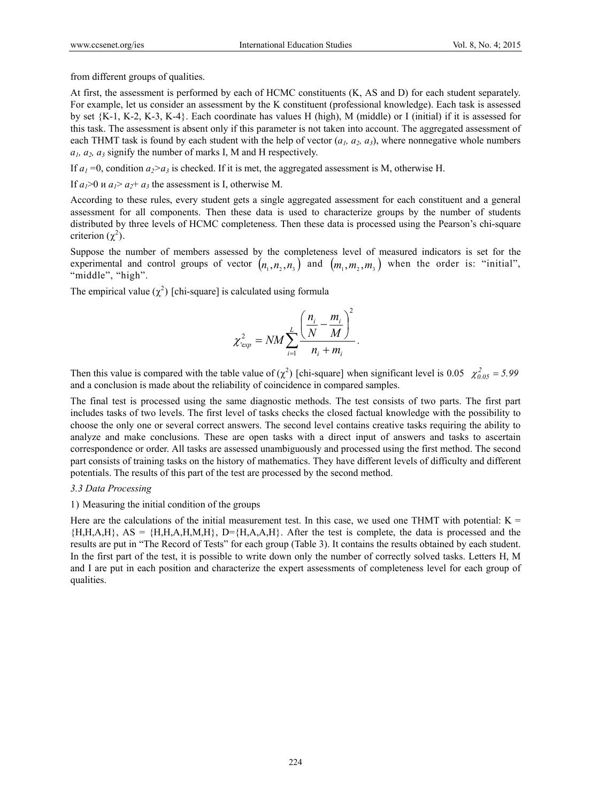from different groups of qualities.

At first, the assessment is performed by each of HCMC constituents (K, AS and D) for each student separately. For example, let us consider an assessment by the K constituent (professional knowledge). Each task is assessed by set {K-1, K-2, K-3, K-4}. Each coordinate has values H (high), M (middle) or I (initial) if it is assessed for this task. The assessment is absent only if this parameter is not taken into account. The aggregated assessment of each THMT task is found by each student with the help of vector  $(a_1, a_2, a_3)$ , where nonnegative whole numbers *а1, а2, а<sup>3</sup>* signify the number of marks I, M and H respectively.

If  $a_1 = 0$ , condition  $a_2 > a_3$  is checked. If it is met, the aggregated assessment is M, otherwise H.

If  $a_1>0$  и  $a_1> a_2+a_3$  the assessment is I, otherwise M.

According to these rules, every student gets a single aggregated assessment for each constituent and a general assessment for all components. Then these data is used to characterize groups by the number of students distributed by three levels of HCMC completeness. Then these data is processed using the Pearson's chi-square criterion  $(\chi^2)$ .

Suppose the number of members assessed by the completeness level of measured indicators is set for the experimental and control groups of vector  $(n_1, n_2, n_3)$  and  $(m_1, m_2, m_3)$  when the order is: "initial", "middle", "high".

The empirical value  $(\chi^2)$  [chi-square] is calculated using formula

$$
\chi_{\text{exp}}^2 = NM \sum_{i=1}^L \frac{\left(\frac{n_i}{N} - \frac{m_i}{M}\right)^2}{n_i + m_i}.
$$

Then this value is compared with the table value of  $(\chi^2)$  [chi-square] when significant level is 0.05  $\chi^2_{0.05} = 5.99$ and a conclusion is made about the reliability of coincidence in compared samples.

The final test is processed using the same diagnostic methods. The test consists of two parts. The first part includes tasks of two levels. The first level of tasks checks the closed factual knowledge with the possibility to choose the only one or several correct answers. The second level contains creative tasks requiring the ability to analyze and make conclusions. These are open tasks with a direct input of answers and tasks to ascertain correspondence or order. All tasks are assessed unambiguously and processed using the first method. The second part consists of training tasks on the history of mathematics. They have different levels of difficulty and different potentials. The results of this part of the test are processed by the second method.

#### *3.3 Data Processing*

#### 1) Measuring the initial condition of the groups

Here are the calculations of the initial measurement test. In this case, we used one THMT with potential:  $K =$  ${H,H,A,H}$ ,  $AS = {H,H,A,H,M,H}$ ,  $D={H,A,A,H}$ . After the test is complete, the data is processed and the results are put in "The Record of Tests" for each group (Table 3). It contains the results obtained by each student. In the first part of the test, it is possible to write down only the number of correctly solved tasks. Letters H, M and I are put in each position and characterize the expert assessments of completeness level for each group of qualities.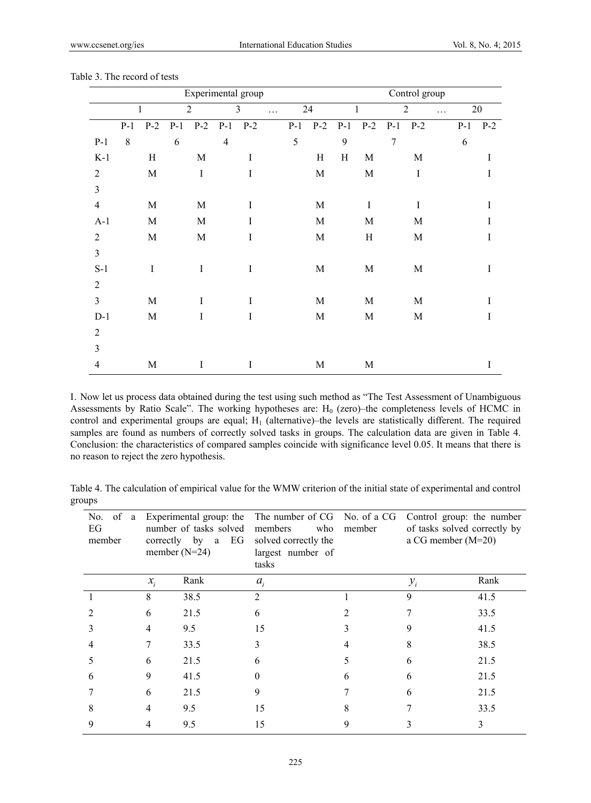|                |       |              |       |                | Experimental group |             |   |       |             |       |              |             | Control group  |   |       |         |
|----------------|-------|--------------|-------|----------------|--------------------|-------------|---|-------|-------------|-------|--------------|-------------|----------------|---|-------|---------|
|                |       | $\mathbf{1}$ |       | $\overline{2}$ |                    | 3           | . |       | 24          |       | $\mathbf{1}$ |             | $\overline{2}$ | . |       | 20      |
|                | $P-1$ | $P-2$        | $P-1$ | $P-2$          | $P-1$ $P-2$        |             |   | $P-1$ | $P-2$       | $P-1$ |              | $P-2$ $P-1$ | $P-2$          |   | $P-1$ | $P-2$   |
| $P-1$          | 8     |              | 6     |                | $\overline{4}$     |             |   | 5     |             | 9     |              | 7           |                |   | 6     |         |
| $K-1$          |       | H            |       | $\mathbf M$    |                    | $\mathbf I$ |   |       | H           | H     | $\mathbf M$  |             | $\mathbf M$    |   |       | $\bf I$ |
| $\overline{2}$ |       | $\mathbf M$  |       | $\mathbf I$    |                    | $\mathbf I$ |   |       | $\mathbf M$ |       | M            |             | $\bf{I}$       |   |       | I       |
| $\overline{3}$ |       |              |       |                |                    |             |   |       |             |       |              |             |                |   |       |         |
| $\overline{4}$ |       | $\mathbf M$  |       | $\mathbf M$    |                    | $\mathbf I$ |   |       | $\mathbf M$ |       | $\mathbf I$  |             | $\bf{I}$       |   |       | I       |
| $A-1$          |       | $\mathbf M$  |       | $\mathbf M$    |                    | $\mathbf I$ |   |       | $\mathbf M$ |       | $\mathbf M$  |             | $\mathbf M$    |   |       | I       |
| $\overline{2}$ |       | $\mathbf M$  |       | $\mathbf M$    |                    | $\bf{I}$    |   |       | $\mathbf M$ |       | H            |             | $\mathbf M$    |   |       | I       |
| $\overline{3}$ |       |              |       |                |                    |             |   |       |             |       |              |             |                |   |       |         |
| $S-1$          |       | $\rm I$      |       | $\bf{I}$       |                    | $\mathbf I$ |   |       | $\mathbf M$ |       | M            |             | $\mathbf M$    |   |       | $\rm I$ |
| $\overline{2}$ |       |              |       |                |                    |             |   |       |             |       |              |             |                |   |       |         |
| $\overline{3}$ |       | $\mathbf M$  |       | $\mathbf I$    |                    | $\mathbf I$ |   |       | M           |       | $\mathbf M$  |             | $\mathbf M$    |   |       | I       |
| $D-1$          |       | $\mathbf M$  |       | $\bf{I}$       |                    | $\bf{I}$    |   |       | M           |       | M            |             | M              |   |       | I       |
| $\overline{2}$ |       |              |       |                |                    |             |   |       |             |       |              |             |                |   |       |         |
| $\overline{3}$ |       |              |       |                |                    |             |   |       |             |       |              |             |                |   |       |         |
| 4              |       | $\mathbf M$  |       | $\bf{I}$       |                    | $\mathbf I$ |   |       | M           |       | M            |             |                |   |       | I       |

Table 3. The record of tests

I. Now let us process data obtained during the test using such method as "The Test Assessment of Unambiguous Assessments by Ratio Scale". The working hypotheses are:  $H_0$  (zero)–the completeness levels of HCMC in control and experimental groups are equal;  $H_1$  (alternative)–the levels are statistically different. The required samples are found as numbers of correctly solved tasks in groups. The calculation data are given in Table 4. Conclusion: the characteristics of compared samples coincide with significance level 0.05. It means that there is no reason to reject the zero hypothesis.

Table 4. The calculation of empirical value for the WMW criterion of the initial state of experimental and control groups

| of<br>No.<br>a<br>EG<br>member |                 | Experimental group: the<br>number of tasks solved<br>correctly by<br>EG<br>a<br>member $(N=24)$ | The number of CG No. of a CG<br>members<br>who<br>solved correctly the<br>largest number of<br>tasks | member | Control group: the number<br>of tasks solved correctly by<br>a CG member (M=20) |      |
|--------------------------------|-----------------|-------------------------------------------------------------------------------------------------|------------------------------------------------------------------------------------------------------|--------|---------------------------------------------------------------------------------|------|
|                                | $\mathcal{X}_i$ | Rank                                                                                            | $a_i$                                                                                                |        | $y_i$                                                                           | Rank |
|                                | 8               | 38.5                                                                                            | $\mathfrak{D}$                                                                                       |        | 9                                                                               | 41.5 |
|                                | 6               | 21.5                                                                                            | 6                                                                                                    |        |                                                                                 | 33.5 |
|                                | 4               | 9.5                                                                                             | 15                                                                                                   | 3      | 9                                                                               | 41.5 |
|                                |                 | 33.5                                                                                            |                                                                                                      | 4      | 8                                                                               | 38.5 |
|                                | 6               | 21.5                                                                                            | 6                                                                                                    | 5      |                                                                                 | 21.5 |
| 6                              | 9               | 41.5                                                                                            | 0                                                                                                    | 6      | 6                                                                               | 21.5 |
|                                | 6               | 21.5                                                                                            | 9                                                                                                    |        | h                                                                               | 21.5 |
| 8                              | 4               | 9.5                                                                                             | 15                                                                                                   | 8      |                                                                                 | 33.5 |
| 9                              | 4               | 9.5                                                                                             | 15                                                                                                   | 9      |                                                                                 | 3    |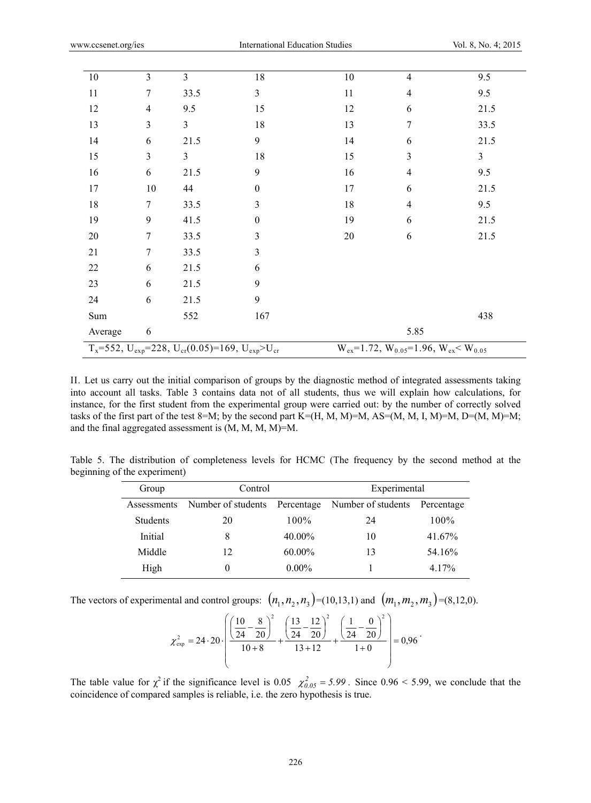| 10                                                                         | $\overline{3}$ | $\overline{3}$ | 18               | 10 | 4                                                         | 9.5            |
|----------------------------------------------------------------------------|----------------|----------------|------------------|----|-----------------------------------------------------------|----------------|
| 11                                                                         | 7              | 33.5           | 3                | 11 | $\overline{4}$                                            | 9.5            |
| 12                                                                         | $\overline{4}$ | 9.5            | 15               | 12 | 6                                                         | 21.5           |
| 13                                                                         | $\overline{3}$ | 3              | 18               | 13 | 7                                                         | 33.5           |
| 14                                                                         | 6              | 21.5           | 9                | 14 | 6                                                         | 21.5           |
| 15                                                                         | $\overline{3}$ | $\overline{3}$ | 18               | 15 | 3                                                         | $\overline{3}$ |
| 16                                                                         | 6              | 21.5           | 9                | 16 | $\overline{4}$                                            | 9.5            |
| 17                                                                         | 10             | 44             | $\boldsymbol{0}$ | 17 | 6                                                         | 21.5           |
| 18                                                                         | $\tau$         | 33.5           | 3                | 18 | $\overline{4}$                                            | 9.5            |
| 19                                                                         | 9              | 41.5           | $\boldsymbol{0}$ | 19 | 6                                                         | 21.5           |
| 20                                                                         | $\tau$         | 33.5           | 3                | 20 | 6                                                         | 21.5           |
| 21                                                                         | 7              | 33.5           | 3                |    |                                                           |                |
| $22\,$                                                                     | 6              | 21.5           | 6                |    |                                                           |                |
| 23                                                                         | 6              | 21.5           | 9                |    |                                                           |                |
| 24                                                                         | 6              | 21.5           | 9                |    |                                                           |                |
| Sum                                                                        |                | 552            | 167              |    |                                                           | 438            |
| Average                                                                    | 6              |                |                  |    | 5.85                                                      |                |
| $T_x = 552$ , $U_{exp} = 228$ , $U_{cr} (0.05) = 169$ , $U_{exp} > U_{cr}$ |                |                |                  |    | $W_{ex} = 1.72$ , $W_{0.05} = 1.96$ , $W_{ex} < W_{0.05}$ |                |

II. Let us carry out the initial comparison of groups by the diagnostic method of integrated assessments taking into account all tasks. Table 3 contains data not of all students, thus we will explain how calculations, for instance, for the first student from the experimental group were carried out: by the number of correctly solved tasks of the first part of the test 8=M; by the second part K=(H, M, M)=M, AS=(M, M, I, M)=M, D=(M, M)=M; and the final aggregated assessment is (M, M, M, M)=M.

Table 5. The distribution of completeness levels for HCMC (The frequency by the second method at the beginning of the experiment)

| Group           | Experimental<br>Control |            |                    |            |
|-----------------|-------------------------|------------|--------------------|------------|
| Assessments     | Number of students      | Percentage | Number of students | Percentage |
| <b>Students</b> | 20                      | $100\%$    | 24                 | $100\%$    |
| Initial         | 8                       | 40.00%     | 10                 | 41.67%     |
| Middle          | 12                      | 60.00%     | 13                 | 54.16%     |
| High            |                         | $0.00\%$   |                    | 4 1 7%     |

The vectors of experimental and control groups:  $(n_1, n_2, n_3) = (10, 13, 1)$  and  $(m_1, m_2, m_3) = (8, 12, 0)$ .

$$
\chi_{\text{exp}}^2 = 24 \cdot 20 \cdot \left( \frac{\left( \frac{10}{24} - \frac{8}{20} \right)^2}{10 + 8} + \frac{\left( \frac{13}{24} - \frac{12}{20} \right)^2}{13 + 12} + \frac{\left( \frac{1}{24} - \frac{0}{20} \right)^2}{1 + 0} \right) = 0.96 \cdot
$$

The table value for  $\chi^2$  if the significance level is 0.05  $\chi^2_{0.05} = 5.99$ . Since 0.96 < 5.99, we conclude that the coincidence of compared samples is reliable, i.e. the zero hypothesis is true.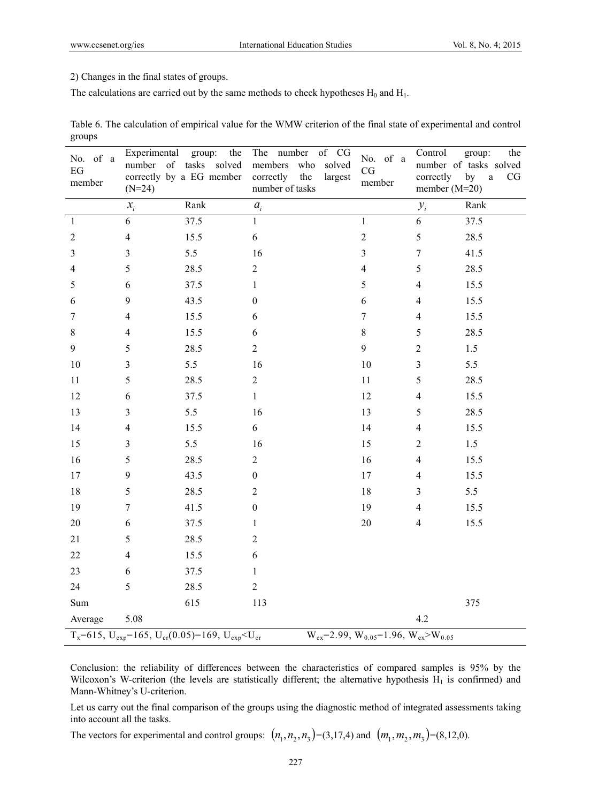2) Changes in the final states of groups.

The calculations are carried out by the same methods to check hypotheses  $H_0$  and  $H_1$ .

| Table 6. The calculation of empirical value for the WMW criterion of the final state of experimental and control |  |
|------------------------------------------------------------------------------------------------------------------|--|
| groups                                                                                                           |  |

| No. of a<br>$\operatorname{EG}$<br>member                                                                   | Experimental group:<br>$(N=24)$ | the<br>number of tasks solved<br>correctly by a EG member | The number<br>of CG<br>members<br>who<br>solved<br>correctly<br>the<br>largest<br>number of tasks | No. of a<br>CG<br>member | Control<br>correctly<br>member $(M=20)$ | group:<br>the<br>number of tasks solved<br>by<br>$\rm{a}$<br>CG |
|-------------------------------------------------------------------------------------------------------------|---------------------------------|-----------------------------------------------------------|---------------------------------------------------------------------------------------------------|--------------------------|-----------------------------------------|-----------------------------------------------------------------|
|                                                                                                             | $x_i$                           | Rank                                                      | $a_i$                                                                                             |                          | $y_i$                                   | Rank                                                            |
| $\mathbf{1}$                                                                                                | $\sqrt{6}$                      | 37.5                                                      | $\mathbf{1}$                                                                                      | $\mathbf{1}$             | 6                                       | 37.5                                                            |
| $\overline{2}$                                                                                              | $\overline{\mathbf{4}}$         | 15.5                                                      | $\sqrt{6}$                                                                                        | $\overline{c}$           | 5                                       | 28.5                                                            |
| 3                                                                                                           | $\mathfrak{Z}$                  | 5.5                                                       | 16                                                                                                | 3                        | $\tau$                                  | 41.5                                                            |
| 4                                                                                                           | 5                               | 28.5                                                      | $\boldsymbol{2}$                                                                                  | $\overline{\mathbf{4}}$  | 5                                       | 28.5                                                            |
| 5                                                                                                           | $\sqrt{6}$                      | 37.5                                                      | $\mathbf{1}$                                                                                      | 5                        | $\overline{4}$                          | 15.5                                                            |
| 6                                                                                                           | $\mathbf{9}$                    | 43.5                                                      | $\boldsymbol{0}$                                                                                  | 6                        | $\overline{4}$                          | 15.5                                                            |
| 7                                                                                                           | $\overline{4}$                  | 15.5                                                      | 6                                                                                                 | $\boldsymbol{7}$         | $\overline{4}$                          | 15.5                                                            |
| $8\,$                                                                                                       | $\overline{4}$                  | 15.5                                                      | $\sqrt{6}$                                                                                        | $8\,$                    | 5                                       | 28.5                                                            |
| 9                                                                                                           | 5                               | 28.5                                                      | $\boldsymbol{2}$                                                                                  | 9                        | $\sqrt{2}$                              | $1.5\,$                                                         |
| 10                                                                                                          | $\overline{3}$                  | 5.5                                                       | 16                                                                                                | 10                       | $\overline{3}$                          | 5.5                                                             |
| 11                                                                                                          | 5                               | 28.5                                                      | $\mathbf{2}$                                                                                      | $11\,$                   | 5                                       | 28.5                                                            |
| 12                                                                                                          | $\sqrt{6}$                      | 37.5                                                      | $\mathbf{1}$                                                                                      | 12                       | $\overline{4}$                          | 15.5                                                            |
| 13                                                                                                          | $\mathfrak{Z}$                  | 5.5                                                       | 16                                                                                                | 13                       | 5                                       | 28.5                                                            |
| 14                                                                                                          | $\overline{4}$                  | 15.5                                                      | 6                                                                                                 | 14                       | $\overline{4}$                          | 15.5                                                            |
| 15                                                                                                          | $\mathfrak{Z}$                  | 5.5                                                       | 16                                                                                                | 15                       | $\sqrt{2}$                              | 1.5                                                             |
| 16                                                                                                          | 5                               | 28.5                                                      | $\overline{2}$                                                                                    | 16                       | $\overline{4}$                          | 15.5                                                            |
| 17                                                                                                          | 9                               | 43.5                                                      | $\boldsymbol{0}$                                                                                  | 17                       | $\overline{4}$                          | 15.5                                                            |
| $18\,$                                                                                                      | 5                               | 28.5                                                      | $\overline{2}$                                                                                    | 18                       | 3                                       | 5.5                                                             |
| 19                                                                                                          | $\boldsymbol{7}$                | 41.5                                                      | $\boldsymbol{0}$                                                                                  | 19                       | $\overline{4}$                          | 15.5                                                            |
| 20                                                                                                          | $\epsilon$                      | 37.5                                                      | $\mathbf{1}$                                                                                      | $20\,$                   | $\overline{4}$                          | 15.5                                                            |
| 21                                                                                                          | 5                               | 28.5                                                      | $\overline{c}$                                                                                    |                          |                                         |                                                                 |
| $22\,$                                                                                                      | $\overline{4}$                  | 15.5                                                      | 6                                                                                                 |                          |                                         |                                                                 |
| 23                                                                                                          | 6                               | 37.5                                                      | $\mathbf{1}$                                                                                      |                          |                                         |                                                                 |
| 24                                                                                                          | 5                               | 28.5                                                      | $\sqrt{2}$                                                                                        |                          |                                         |                                                                 |
| Sum                                                                                                         |                                 | 615                                                       | 113                                                                                               |                          |                                         | 375                                                             |
| Average                                                                                                     | 5.08                            |                                                           |                                                                                                   |                          | 4.2                                     |                                                                 |
| $T_x=615$ , $U_{exp}=165$ , $U_{cr}(0.05)=169$ , $U_{exp}W_{ex} = 2.99, W_{0.05} = 1.96, W_{ex} > W_{0.05}$ |                                 |                                                           |                                                                                                   |                          |                                         |                                                                 |

Conclusion: the reliability of differences between the characteristics of compared samples is 95% by the Wilcoxon's W-criterion (the levels are statistically different; the alternative hypothesis  $H_1$  is confirmed) and Mann-Whitney's U-criterion.

Let us carry out the final comparison of the groups using the diagnostic method of integrated assessments taking into account all the tasks.

The vectors for experimental and control groups:  $(n_1, n_2, n_3) = (3, 17, 4)$  and  $(m_1, m_2, m_3) = (8, 12, 0)$ .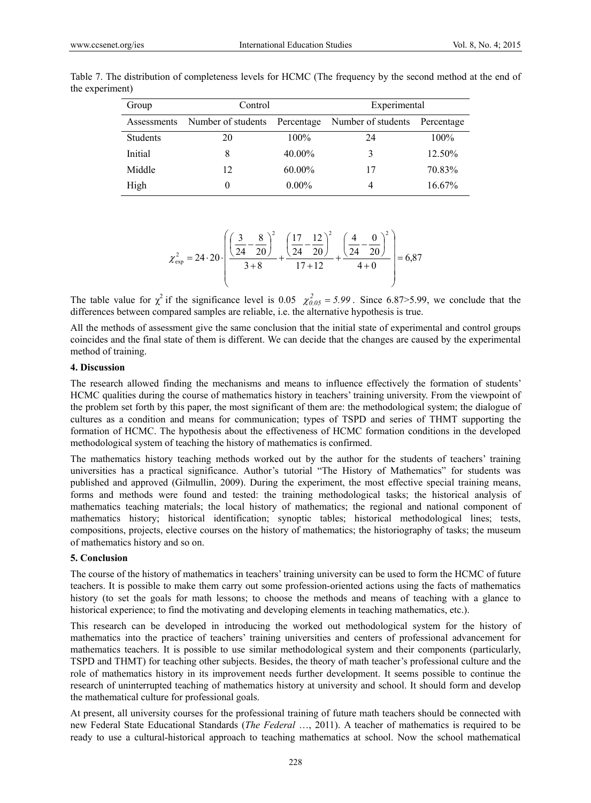| Group           | Control            |            | Experimental       |            |  |
|-----------------|--------------------|------------|--------------------|------------|--|
| Assessments     | Number of students | Percentage | Number of students | Percentage |  |
| <b>Students</b> | 20                 | $100\%$    | 24                 | $100\%$    |  |
| Initial         | 8                  | $40.00\%$  |                    | 12.50%     |  |
| Middle          | 12                 | 60.00%     | 17                 | 70.83%     |  |
| High            |                    | $0.00\%$   | 4                  | 16.67%     |  |

Table 7. The distribution of completeness levels for HCMC (The frequency by the second method at the end of the experiment)

$$
\chi_{\text{exp}}^2 = 24 \cdot 20 \cdot \left[ \frac{\left(\frac{3}{24} - \frac{8}{20}\right)^2}{3+8} + \frac{\left(\frac{17}{24} - \frac{12}{20}\right)^2}{17+12} + \frac{\left(\frac{4}{24} - \frac{0}{20}\right)^2}{4+0} \right] = 6,87
$$

The table value for  $\chi^2$  if the significance level is 0.05  $\chi^2_{0.05} = 5.99$ . Since 6.87>5.99, we conclude that the differences between compared samples are reliable, i.e. the alternative hypothesis is true.

All the methods of assessment give the same conclusion that the initial state of experimental and control groups coincides and the final state of them is different. We can decide that the changes are caused by the experimental method of training.

## **4. Discussion**

The research allowed finding the mechanisms and means to influence effectively the formation of students' HCMC qualities during the course of mathematics history in teachers' training university. From the viewpoint of the problem set forth by this paper, the most significant of them are: the methodological system; the dialogue of cultures as a condition and means for communication; types of TSPD and series of THMT supporting the formation of HCMC. The hypothesis about the effectiveness of HCMC formation conditions in the developed methodological system of teaching the history of mathematics is confirmed.

The mathematics history teaching methods worked out by the author for the students of teachers' training universities has a practical significance. Author's tutorial "The History of Mathematics" for students was published and approved (Gilmullin, 2009). During the experiment, the most effective special training means, forms and methods were found and tested: the training methodological tasks; the historical analysis of mathematics teaching materials; the local history of mathematics; the regional and national component of mathematics history; historical identification; synoptic tables; historical methodological lines; tests, compositions, projects, elective courses on the history of mathematics; the historiography of tasks; the museum of mathematics history and so on.

#### **5. Conclusion**

The course of the history of mathematics in teachers' training university can be used to form the HCMC of future teachers. It is possible to make them carry out some profession-oriented actions using the facts of mathematics history (to set the goals for math lessons; to choose the methods and means of teaching with a glance to historical experience; to find the motivating and developing elements in teaching mathematics, etc.).

This research can be developed in introducing the worked out methodological system for the history of mathematics into the practice of teachers' training universities and centers of professional advancement for mathematics teachers. It is possible to use similar methodological system and their components (particularly, TSPD and THMT) for teaching other subjects. Besides, the theory of math teacher's professional culture and the role of mathematics history in its improvement needs further development. It seems possible to continue the research of uninterrupted teaching of mathematics history at university and school. It should form and develop the mathematical culture for professional goals.

At present, all university courses for the professional training of future math teachers should be connected with new Federal State Educational Standards (*The Federal* …, 2011). A teacher of mathematics is required to be ready to use a cultural-historical approach to teaching mathematics at school. Now the school mathematical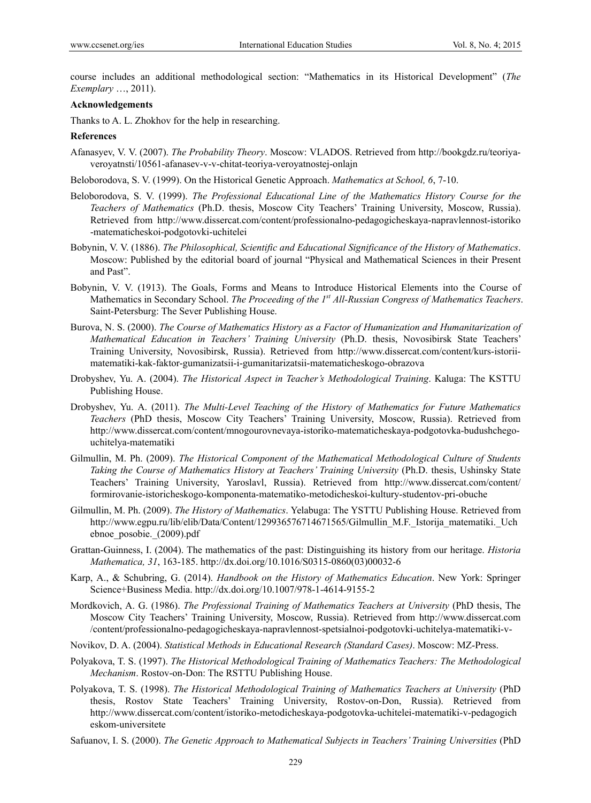course includes an additional methodological section: "Mathematics in its Historical Development" (*The Exemplary* …, 2011).

#### **Acknowledgements**

Thanks to A. L. Zhokhov for the help in researching.

#### **References**

- Afanasyev, V. V. (2007). *The Probability Theory*. Moscow: VLADOS. Retrieved from http://bookgdz.ru/teoriyaveroyatnsti/10561-afanasev-v-v-chitat-teoriya-veroyatnostej-onlajn
- Beloborodova, S. V. (1999). On the Historical Genetic Approach. *Mathematics at School, 6*, 7-10.
- Beloborodova, S. V. (1999). *The Professional Educational Line of the Mathematics History Course for the Teachers of Mathematics* (Ph.D. thesis, Moscow City Teachers' Training University, Moscow, Russia). Retrieved from http://www.dissercat.com/content/professionalno-pedagogicheskaya-napravlennost-istoriko -matematicheskoi-podgotovki-uchitelei
- Bobynin, V. V. (1886). *The Philosophical, Scientific and Educational Significance of the History of Mathematics*. Moscow: Published by the editorial board of journal "Physical and Mathematical Sciences in their Present and Past".
- Bobynin, V. V. (1913). The Goals, Forms and Means to Introduce Historical Elements into the Course of Mathematics in Secondary School. *The Proceeding of the 1<sup>st</sup> All-Russian Congress of Mathematics Teachers*. Saint-Petersburg: The Sever Publishing House.
- Burova, N. S. (2000). *The Course of Mathematics History as a Factor of Humanization and Humanitarization of Mathematical Education in Teachers' Training University* (Ph.D. thesis, Novosibirsk State Teachers' Training University, Novosibirsk, Russia). Retrieved from http://www.dissercat.com/content/kurs-istoriimatematiki-kak-faktor-gumanizatsii-i-gumanitarizatsii-matematicheskogo-obrazova
- Drobyshev, Yu. A. (2004). *The Historical Aspect in Teacher's Methodological Training*. Kaluga: The KSTTU Publishing House.
- Drobyshev, Yu. A. (2011). *The Multi-Level Teaching of the History of Mathematics for Future Mathematics Teachers* (PhD thesis, Moscow City Teachers' Training University, Moscow, Russia). Retrieved from http://www.dissercat.com/content/mnogourovnevaya-istoriko-matematicheskaya-podgotovka-budushchegouchitelya-matematiki
- Gilmullin, M. Ph. (2009). *The Historical Component of the Mathematical Methodological Culture of Students Taking the Course of Mathematics History at Teachers' Training University* (Ph.D. thesis, Ushinsky State Teachers' Training University, Yaroslavl, Russia). Retrieved from http://www.dissercat.com/content/ formirovanie-istoricheskogo-komponenta-matematiko-metodicheskoi-kultury-studentov-pri-obuche
- Gilmullin, M. Ph. (2009). *The History of Mathematics*. Yelabuga: The YSTTU Publishing House. Retrieved from http://www.egpu.ru/lib/elib/Data/Content/129936576714671565/Gilmullin M.F. Istorija matematiki. Uch ebnoe\_posobie.\_(2009).pdf
- Grattan-Guinness, I. (2004). The mathematics of the past: Distinguishing its history from our heritage. *Historia Mathematica, 31*, 163-185. http://dx.doi.org/10.1016/S0315-0860(03)00032-6
- Karp, A., & Schubring, G. (2014). *Handbook on the History of Mathematics Education*. New York: Springer Science+Business Media. http://dx.doi.org/10.1007/978-1-4614-9155-2
- Mordkovich, A. G. (1986). *The Professional Training of Mathematics Teachers at University* (PhD thesis, The Moscow City Teachers' Training University, Moscow, Russia). Retrieved from http://www.dissercat.com /content/professionalno-pedagogicheskaya-napravlennost-spetsialnoi-podgotovki-uchitelya-matematiki-v-
- Novikov, D. A. (2004). *Statistical Methods in Educational Research (Standard Cases)*. Moscow: MZ-Press.
- Polyakova, T. S. (1997). *The Historical Methodological Training of Mathematics Teachers: The Methodological Mechanism*. Rostov-on-Don: The RSTTU Publishing House.
- Polyakova, T. S. (1998). *The Historical Methodological Training of Mathematics Teachers at University* (PhD thesis, Rostov State Teachers' Training University, Rostov-on-Don, Russia). Retrieved from http://www.dissercat.com/content/istoriko-metodicheskaya-podgotovka-uchitelei-matematiki-v-pedagogich eskom-universitete
- Safuanov, I. S. (2000). *The Genetic Approach to Mathematical Subjects in Teachers' Training Universities* (PhD